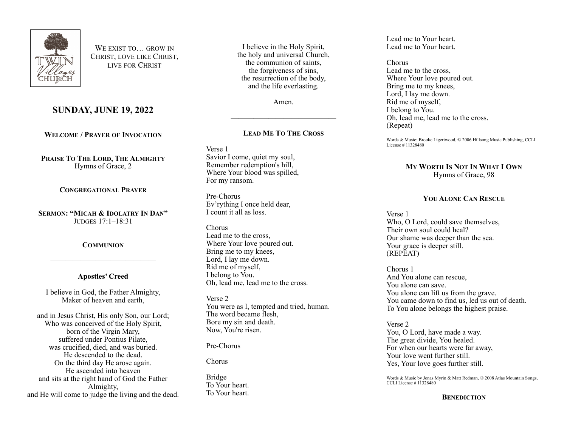

WE EXIST TO **GROW IN** CHRIST, LOVE LIKE CHRIST, LIVE FOR CHRIST

# **SUNDAY, JUNE 19, 2022**

**WELCOME / PRAYER OF INVOCATION**

**PRAISE TO THE LORD, THE ALMIGHTY** Hymns of Grace, 2

#### **CONGREGATIONAL PRAYER**

**SERMON: "MICAH & IDOLATRY IN DAN"** JUDGES 17:1–18:31

#### **COMMUNION**

#### **Apostles' Creed**

——————————————

I believe in God, the Father Almighty, Maker of heaven and earth,

and in Jesus Christ, His only Son, our Lord; Who was conceived of the Holy Spirit, born of the Virgin Mary, suffered under Pontius Pilate, was crucified, died, and was buried. He descended to the dead. On the third day He arose again. He ascended into heaven and sits at the right hand of God the Father Almighty, and He will come to judge the living and the dead.

I believe in the Holy Spirit, the holy and universal Church, the communion of saints, the forgiveness of sins, the resurrection of the body, and the life everlasting.

Amen.

——————————————

### **LEAD ME TO THE CROSS**

Verse 1 Savior I come, quiet my soul. Remember redemption's hill, Where Your blood was spilled, For my ransom.

Pre-Chorus Ev'rything I once held dear, I count it all as loss.

#### Chorus Lead me to the cross, Where Your love poured out. Bring me to my knees, Lord, I lay me down. Rid me of myself, I belong to You. Oh, lead me, lead me to the cross.

Verse 2 You were as I, tempted and tried, human. The word became flesh, Bore my sin and death. Now, You're risen.

Pre-Chorus

Chorus

Bridge To Your heart. To Your heart.

Lead me to Your heart. Lead me to Your heart.

Chorus Lead me to the cross, Where Your love poured out. Bring me to my knees, Lord, I lay me down. Rid me of myself, I belong to You. Oh, lead me, lead me to the cross. (Repeat)

Words & Music: Brooke Ligertwood, © 2006 Hillsong Music Publishing, CCLI License # 11328480

#### **MY WORTH IS NOT IN WHAT I OWN** Hymns of Grace, 98

### **YOU ALONE CAN RESCUE**

Verse 1 Who, O Lord, could save themselves, Their own soul could heal? Our shame was deeper than the sea. Your grace is deeper still. (REPEAT)

Chorus 1 And You alone can rescue, You alone can save. You alone can lift us from the grave. You came down to find us, led us out of death. To You alone belongs the highest praise.

Verse 2 You, O Lord, have made a way. The great divide, You healed. For when our hearts were far away, Your love went further still. Yes, Your love goes further still.

Words & Music by Jonas Myrin & Matt Redman, © 2008 Atlas Mountain Songs, CCLI License # 11328480

#### **BENEDICTION**